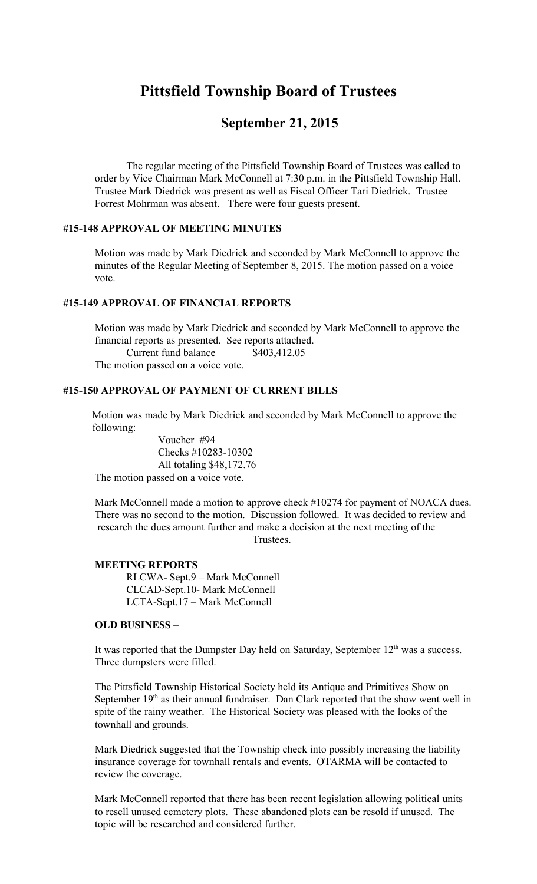# **Pittsfield Township Board of Trustees**

# **September 21, 2015**

The regular meeting of the Pittsfield Township Board of Trustees was called to order by Vice Chairman Mark McConnell at 7:30 p.m. in the Pittsfield Township Hall. Trustee Mark Diedrick was present as well as Fiscal Officer Tari Diedrick. Trustee Forrest Mohrman was absent. There were four guests present.

# **#15-148 APPROVAL OF MEETING MINUTES**

Motion was made by Mark Diedrick and seconded by Mark McConnell to approve the minutes of the Regular Meeting of September 8, 2015. The motion passed on a voice vote.

# **#15-149 APPROVAL OF FINANCIAL REPORTS**

Motion was made by Mark Diedrick and seconded by Mark McConnell to approve the financial reports as presented. See reports attached. Current fund balance \$403,412.05 The motion passed on a voice vote.

## **#15-150 APPROVAL OF PAYMENT OF CURRENT BILLS**

 Motion was made by Mark Diedrick and seconded by Mark McConnell to approve the following:

 Voucher #94 Checks #10283-10302 All totaling \$48,172.76 The motion passed on a voice vote.

Mark McConnell made a motion to approve check #10274 for payment of NOACA dues. There was no second to the motion. Discussion followed. It was decided to review and research the dues amount further and make a decision at the next meeting of the Trustees.

### **MEETING REPORTS**

RLCWA- Sept.9 – Mark McConnell CLCAD-Sept.10- Mark McConnell LCTA-Sept.17 – Mark McConnell

### **OLD BUSINESS –**

It was reported that the Dumpster Day held on Saturday, September  $12<sup>th</sup>$  was a success. Three dumpsters were filled.

The Pittsfield Township Historical Society held its Antique and Primitives Show on September 19<sup>th</sup> as their annual fundraiser. Dan Clark reported that the show went well in spite of the rainy weather. The Historical Society was pleased with the looks of the townhall and grounds.

Mark Diedrick suggested that the Township check into possibly increasing the liability insurance coverage for townhall rentals and events. OTARMA will be contacted to review the coverage.

Mark McConnell reported that there has been recent legislation allowing political units to resell unused cemetery plots. These abandoned plots can be resold if unused. The topic will be researched and considered further.